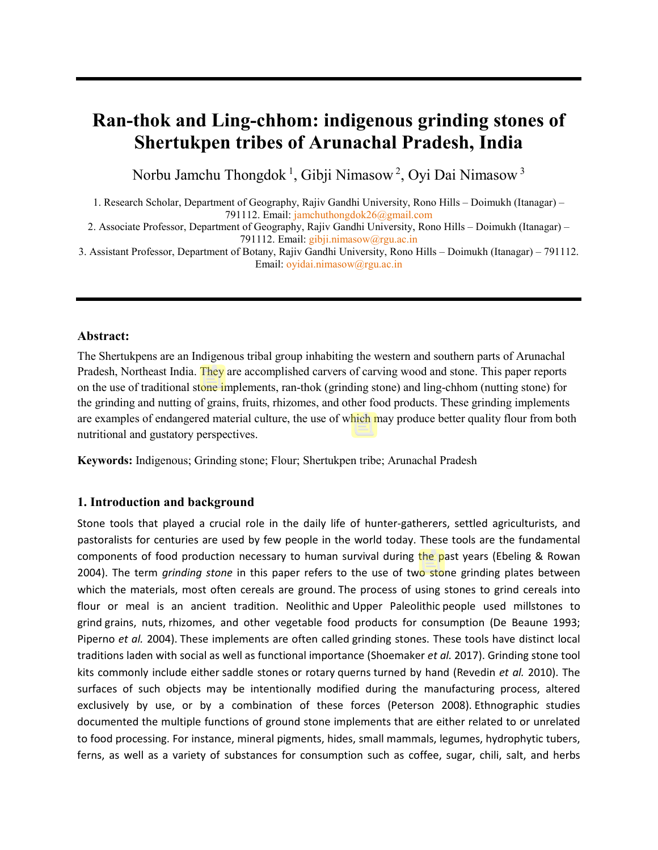# **Ran-thok and Ling-chhom: indigenous grinding stones of Shertukpen tribes of Arunachal Pradesh, India**

Norbu Jamchu Thongdok <sup>1</sup>, Gibji Nimasow <sup>2</sup>, Oyi Dai Nimasow <sup>3</sup>

1. Research Scholar, Department of Geography, Rajiv Gandhi University, Rono Hills – Doimukh (Itanagar) – 791112. Email: [jamchuthongdok26@gmail.com](mailto:jamchuthongdok26@gmail.com)

2. Associate Professor, Department of Geography, Rajiv Gandhi University, Rono Hills – Doimukh (Itanagar) – 791112. Email:  $gibji.nimasow@rgu.ac.in$ 

3. Assistant Professor, Department of Botany, Rajiv Gandhi University, Rono Hills – Doimukh (Itanagar) – 791112. Email[: oyidai.nimasow@rgu.ac.in](mailto:oyidai.nimasow@rgu.ac.in)

## **Abstract:**

The Shertukpens are an Indigenous tribal group inhabiting the western and southern parts of Arunachal Pradesh, Northeast India. They are accomplished carvers of carving wood and stone. This paper reports on the use of traditional stone implements, ran-thok (grinding stone) and ling-chhom (nutting stone) for the grinding and nutting of grains, fruits, rhizomes, and other food products. These grinding implements are examples of endangered material culture, the use of which may produce better quality flour from both nutritional and gustatory perspectives.

**Keywords:** Indigenous; Grinding stone; Flour; Shertukpen tribe; Arunachal Pradesh

## **1. Introduction and background**

Stone tools that played a crucial role in the daily life of hunter-gatherers, settled agriculturists, and pastoralists for centuries are used by few people in the world today. These tools are the fundamental components of food production necessary to human survival during the past years (Ebeling & Rowan 2004). The term *grinding stone* in this paper refers to the use of two stone grinding plates between which the materials, most often cereals are ground. The process of using stones to grind cereals into flour or meal is an ancient tradition. Neolithic and Upper Paleolithic people used millstones to grind grains, nuts, rhizomes, and other vegetable food products for consumption (De Beaune 1993; Piperno *et al.* 2004). These implements are often called grinding stones. These tools have distinct local traditions laden with social as well as functional importance (Shoemaker *et al.* 2017). Grinding stone tool kits commonly include either saddle stones or rotary querns turned by hand (Revedin *et al.* 2010). The surfaces of such objects may be intentionally modified during the manufacturing process, altered exclusively by use, or by a combination of these forces (Peterson 2008). Ethnographic studies documented the multiple functions of ground stone implements that are either related to or unrelated to food processing. For instance, mineral pigments, hides, small mammals, legumes, hydrophytic tubers, ferns, as well as a variety of substances for consumption such as coffee, sugar, chili, salt, and herbs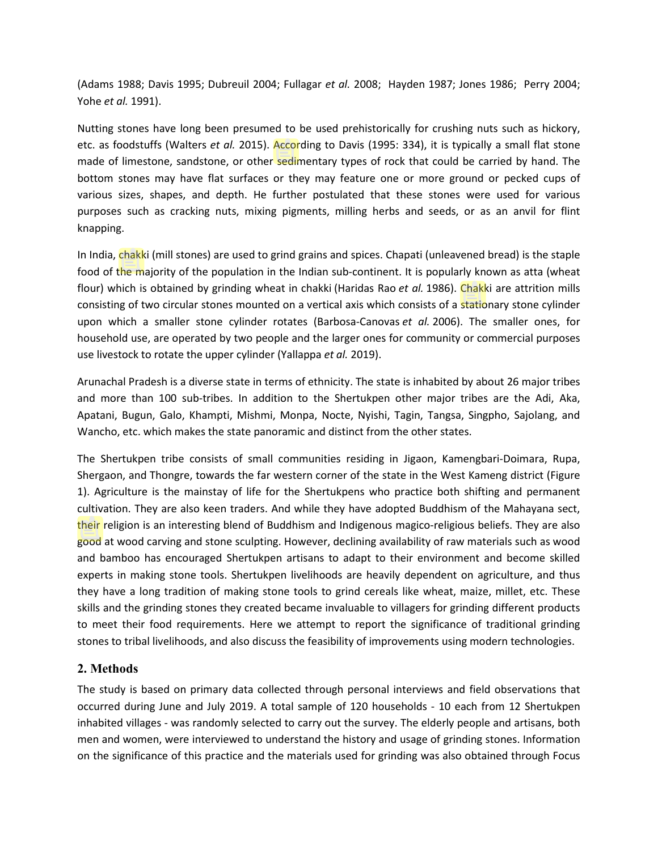(Adams 1988; Davis 1995; Dubreuil 2004; Fullagar *et al.* 2008; Hayden 1987; Jones 1986; Perry 2004; Yohe *et al.* 1991).

Nutting stones have long been presumed to be used prehistorically for crushing nuts such as hickory, etc. as foodstuffs (Walters *et al.* 2015). According to Davis (1995: 334), it is typically a small flat stone made of limestone, sandstone, or other sedimentary types of rock that could be carried by hand. The bottom stones may have flat surfaces or they may feature one or more ground or pecked cups of various sizes, shapes, and depth. He further postulated that these stones were used for various purposes such as cracking nuts, mixing pigments, milling herbs and seeds, or as an anvil for flint knapping.

In India, chakki (mill stones) are used to grind grains and spices. Chapati (unleavened bread) is the staple food of the majority of the population in the Indian sub-continent. It is popularly known as atta (wheat flour) which is obtained by grinding wheat in chakki (Haridas Rao *et al.* 1986). Chakki are attrition mills consisting of two circular stones mounted on a vertical axis which consists of a stationary stone cylinder upon which a smaller stone cylinder rotates (Barbosa-Canovas *et al.* 2006). The smaller ones, for household use, are operated by two people and the larger ones for community or commercial purposes use livestock to rotate the upper cylinder (Yallappa *et al.* 2019).

Arunachal Pradesh is a diverse state in terms of ethnicity. The state is inhabited by about 26 major tribes and more than 100 sub-tribes. In addition to the Shertukpen other major tribes are the Adi, Aka, Apatani, Bugun, Galo, Khampti, Mishmi, Monpa, Nocte, Nyishi, Tagin, Tangsa, Singpho, Sajolang, and Wancho, etc. which makes the state panoramic and distinct from the other states.

The Shertukpen tribe consists of small communities residing in Jigaon, Kamengbari-Doimara, Rupa, Shergaon, and Thongre, towards the far western corner of the state in the West Kameng district (Figure 1). Agriculture is the mainstay of life for the Shertukpens who practice both shifting and permanent cultivation. They are also keen traders. And while they have adopted Buddhism of the Mahayana sect, their religion is an interesting blend of Buddhism and Indigenous magico-religious beliefs. They are also good at wood carving and stone sculpting. However, declining availability of raw materials such as wood and bamboo has encouraged Shertukpen artisans to adapt to their environment and become skilled experts in making stone tools. Shertukpen livelihoods are heavily dependent on agriculture, and thus they have a long tradition of making stone tools to grind cereals like wheat, maize, millet, etc. These skills and the grinding stones they created became invaluable to villagers for grinding different products to meet their food requirements. Here we attempt to report the significance of traditional grinding stones to tribal livelihoods, and also discuss the feasibility of improvements using modern technologies.

## **2. Methods**

The study is based on primary data collected through personal interviews and field observations that occurred during June and July 2019. A total sample of 120 households - 10 each from 12 Shertukpen inhabited villages - was randomly selected to carry out the survey. The elderly people and artisans, both men and women, were interviewed to understand the history and usage of grinding stones. Information on the significance of this practice and the materials used for grinding was also obtained through Focus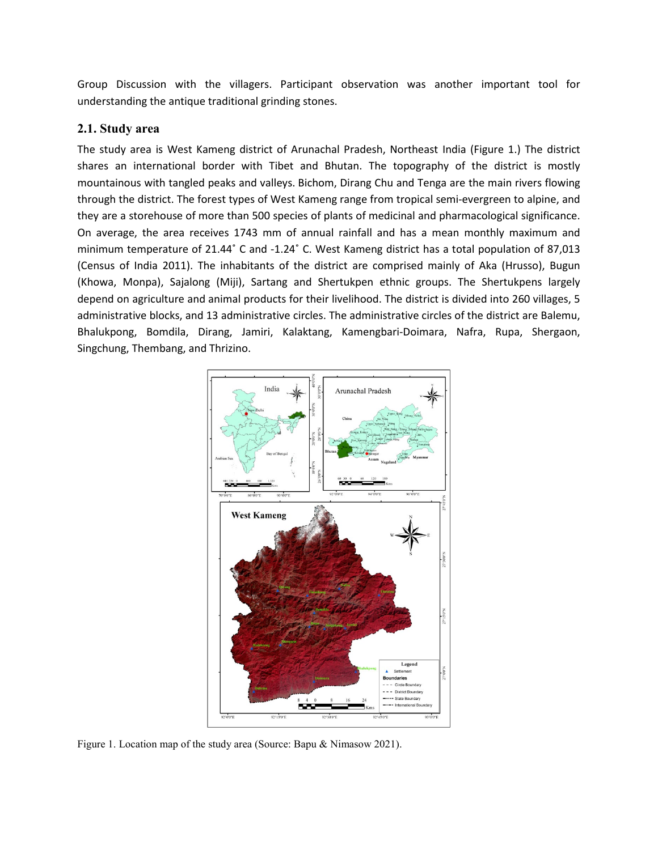Group Discussion with the villagers. Participant observation was another important tool for understanding the antique traditional grinding stones.

## **2.1. Study area**

The study area is West Kameng district of Arunachal Pradesh, Northeast India (Figure 1.) The district shares an international border with Tibet and Bhutan. The topography of the district is mostly mountainous with tangled peaks and valleys. Bichom, Dirang Chu and Tenga are the main rivers flowing through the district. The forest types of West Kameng range from tropical semi-evergreen to alpine, and they are a storehouse of more than 500 species of plants of medicinal and pharmacological significance. On average, the area receives 1743 mm of annual rainfall and has a mean monthly maximum and minimum temperature of 21.44˚ C and -1.24˚ C. West Kameng district has a total population of 87,013 (Census of India 2011). The inhabitants of the district are comprised mainly of Aka (Hrusso), Bugun (Khowa, Monpa), Sajalong (Miji), Sartang and Shertukpen ethnic groups. The Shertukpens largely depend on agriculture and animal products for their livelihood. The district is divided into 260 villages, 5 administrative blocks, and 13 administrative circles. The administrative circles of the district are Balemu, Bhalukpong, Bomdila, Dirang, Jamiri, Kalaktang, Kamengbari-Doimara, Nafra, Rupa, Shergaon, Singchung, Thembang, and Thrizino.



Figure 1. Location map of the study area (Source: Bapu & Nimasow 2021).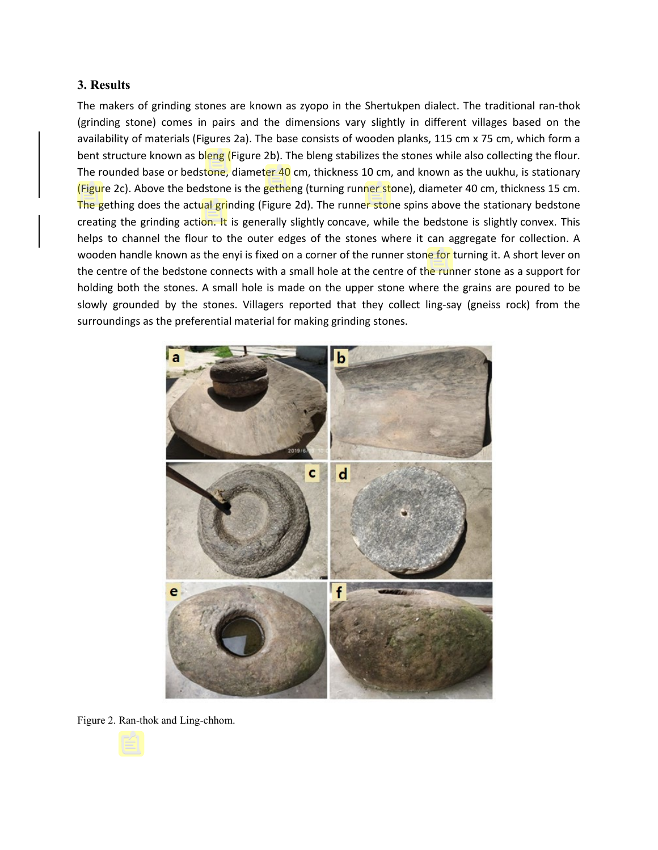## **3. Results**

The makers of grinding stones are known as zyopo in the Shertukpen dialect. The traditional ran-thok (grinding stone) comes in pairs and the dimensions vary slightly in different villages based on the availability of materials (Figures 2a). The base consists of wooden planks, 115 cm x 75 cm, which form a bent structure known as bleng (Figure 2b). The bleng stabilizes the stones while also collecting the flour. The rounded base or bedstone, diameter 40 cm, thickness 10 cm, and known as the uukhu, is stationary (Figure 2c). Above the bedstone is the getheng (turning runner stone), diameter 40 cm, thickness 15 cm. The gething does the actual grinding (Figure 2d). The runner stone spins above the stationary bedstone creating the grinding action. It is generally slightly concave, while the bedstone is slightly convex. This helps to channel the flour to the outer edges of the stones where it can aggregate for collection. A wooden handle known as the enyi is fixed on a corner of the runner stone for turning it. A short lever on the centre of the bedstone connects with a small hole at the centre of the runner stone as a support for holding both the stones. A small hole is made on the upper stone where the grains are poured to be slowly grounded by the stones. Villagers reported that they collect ling-say (gneiss rock) from the surroundings as the preferential material for making grinding stones.



Figure 2. Ran-thok and Ling-chhom.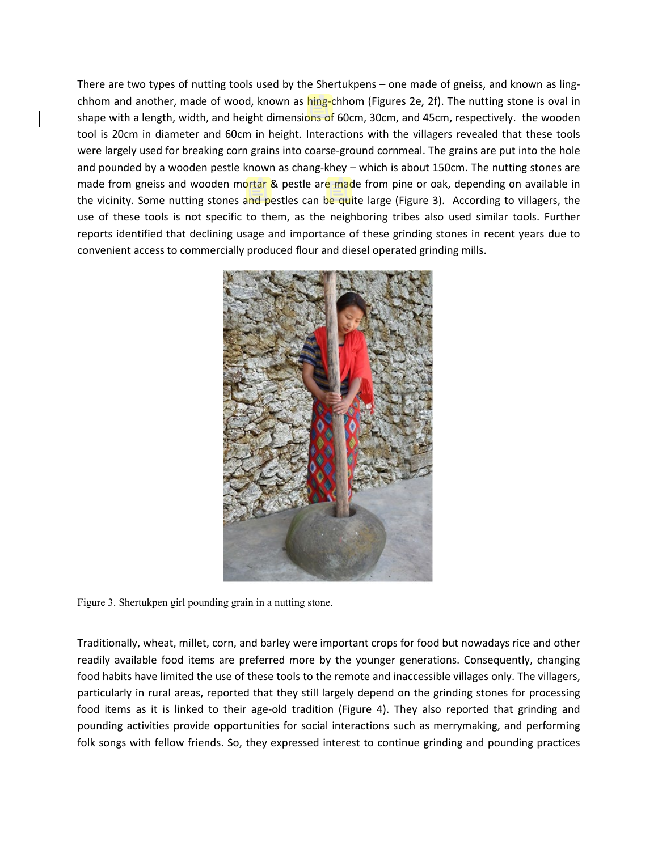There are two types of nutting tools used by the Shertukpens – one made of gneiss, and known as lingchhom and another, made of wood, known as hing-chhom (Figures 2e, 2f). The nutting stone is oval in shape with a length, width, and height dimensions of 60cm, 30cm, and 45cm, respectively. the wooden tool is 20cm in diameter and 60cm in height. Interactions with the villagers revealed that these tools were largely used for breaking corn grains into coarse-ground cornmeal. The grains are put into the hole and pounded by a wooden pestle known as chang-khey – which is about 150cm. The nutting stones are made from gneiss and wooden mortar & pestle are made from pine or oak, depending on available in the vicinity. Some nutting stones and pestles can be quite large (Figure 3). According to villagers, the use of these tools is not specific to them, as the neighboring tribes also used similar tools. Further reports identified that declining usage and importance of these grinding stones in recent years due to convenient access to commercially produced flour and diesel operated grinding mills.



Figure 3. Shertukpen girl pounding grain in a nutting stone.

Traditionally, wheat, millet, corn, and barley were important crops for food but nowadays rice and other readily available food items are preferred more by the younger generations. Consequently, changing food habits have limited the use of these tools to the remote and inaccessible villages only. The villagers, particularly in rural areas, reported that they still largely depend on the grinding stones for processing food items as it is linked to their age-old tradition (Figure 4). They also reported that grinding and pounding activities provide opportunities for social interactions such as merrymaking, and performing folk songs with fellow friends. So, they expressed interest to continue grinding and pounding practices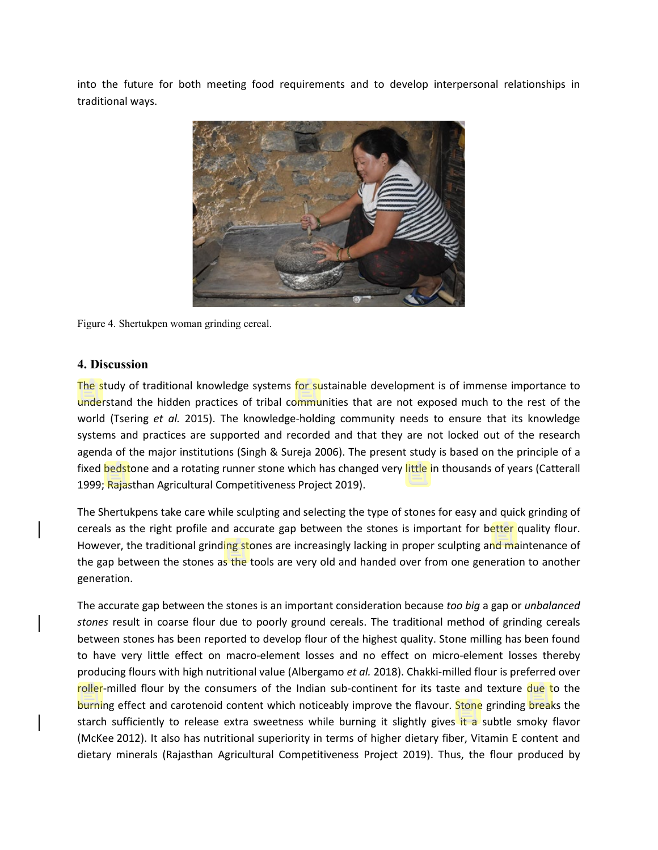into the future for both meeting food requirements and to develop interpersonal relationships in traditional ways.



Figure 4. Shertukpen woman grinding cereal.

#### **4. Discussion**

The study of traditional knowledge systems for sustainable development is of immense importance to understand the hidden practices of tribal communities that are not exposed much to the rest of the world (Tsering *et al.* 2015). The knowledge-holding community needs to ensure that its knowledge systems and practices are supported and recorded and that they are not locked out of the research agenda of the major institutions (Singh & Sureja 2006). The present study is based on the principle of a fixed bedstone and a rotating runner stone which has changed very little in thousands of years (Catterall 1999; Rajasthan Agricultural Competitiveness Project 2019).

The Shertukpens take care while sculpting and selecting the type of stones for easy and quick grinding of cereals as the right profile and accurate gap between the stones is important for better quality flour. However, the traditional grinding stones are increasingly lacking in proper sculpting and maintenance of the gap between the stones as the tools are very old and handed over from one generation to another generation.

The accurate gap between the stones is an important consideration because *too big* a gap or *unbalanced stones* result in coarse flour due to poorly ground cereals. The traditional method of grinding cereals between stones has been reported to develop flour of the highest quality. Stone milling has been found to have very little effect on macro-element losses and no effect on micro-element losses thereby producing flours with high nutritional value (Albergamo *et al.* 2018). Chakki-milled flour is preferred over roller-milled flour by the consumers of the Indian sub-continent for its taste and texture due to the burning effect and carotenoid content which noticeably improve the flavour. Stone grinding breaks the starch sufficiently to release extra sweetness while burning it slightly gives it a subtle smoky flavor (McKee 2012). It also has nutritional superiority in terms of higher dietary fiber, Vitamin E content and dietary minerals (Rajasthan Agricultural Competitiveness Project 2019). Thus, the flour produced by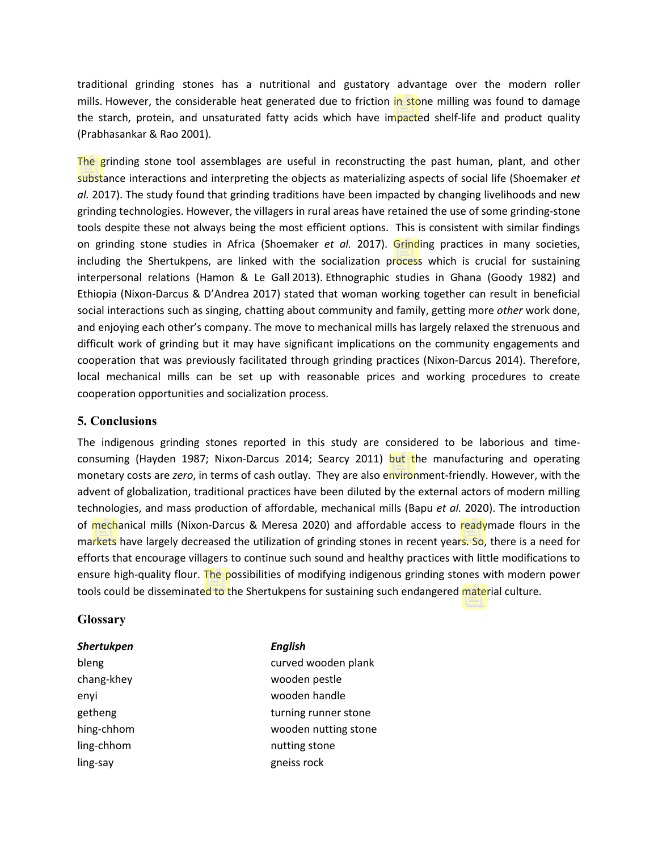traditional grinding stones has a nutritional and gustatory advantage over the modern roller mills. However, the considerable heat generated due to friction in stone milling was found to damage the starch, protein, and unsaturated fatty acids which have impacted shelf-life and product quality (Prabhasankar & Rao 2001).

The grinding stone tool assemblages are useful in reconstructing the past human, plant, and other substance interactions and interpreting the objects as materializing aspects of social life (Shoemaker *et al.* 2017). The study found that grinding traditions have been impacted by changing livelihoods and new grinding technologies. However, the villagers in rural areas have retained the use of some grinding-stone tools despite these not always being the most efficient options. This is consistent with similar findings on grinding stone studies in Africa (Shoemaker *et al.* 2017). Grinding practices in many societies, including the Shertukpens, are linked with the socialization process which is crucial for sustaining interpersonal relations (Hamon & Le Gall 2013). Ethnographic studies in Ghana (Goody 1982) and Ethiopia (Nixon-Darcus & D'Andrea 2017) stated that woman working together can result in beneficial social interactions such as singing, chatting about community and family, getting more *other* work done, and enjoying each other's company. The move to mechanical mills has largely relaxed the strenuous and difficult work of grinding but it may have significant implications on the community engagements and cooperation that was previously facilitated through grinding practices (Nixon-Darcus 2014). Therefore, local mechanical mills can be set up with reasonable prices and working procedures to create cooperation opportunities and socialization process.

## **5. Conclusions**

The indigenous grinding stones reported in this study are considered to be laborious and timeconsuming (Hayden 1987; Nixon-Darcus 2014; Searcy 2011) but the manufacturing and operating monetary costs are *zero*, in terms of cash outlay. They are also environment-friendly. However, with the advent of globalization, traditional practices have been diluted by the external actors of modern milling technologies, and mass production of affordable, mechanical mills (Bapu *et al.* 2020). The introduction of mechanical mills (Nixon-Darcus & Meresa 2020) and affordable access to readymade flours in the markets have largely decreased the utilization of grinding stones in recent years. So, there is a need for efforts that encourage villagers to continue such sound and healthy practices with little modifications to ensure high-quality flour. The possibilities of modifying indigenous grinding stones with modern power tools could be disseminated to the Shertukpens for sustaining such endangered material culture.

#### **Glossary**

| Shertukpen | <b>English</b>       |
|------------|----------------------|
| bleng      | curved wooden plank  |
| chang-khey | wooden pestle        |
| enyi       | wooden handle        |
| getheng    | turning runner stone |
| hing-chhom | wooden nutting stone |
| ling-chhom | nutting stone        |
| ling-say   | gneiss rock          |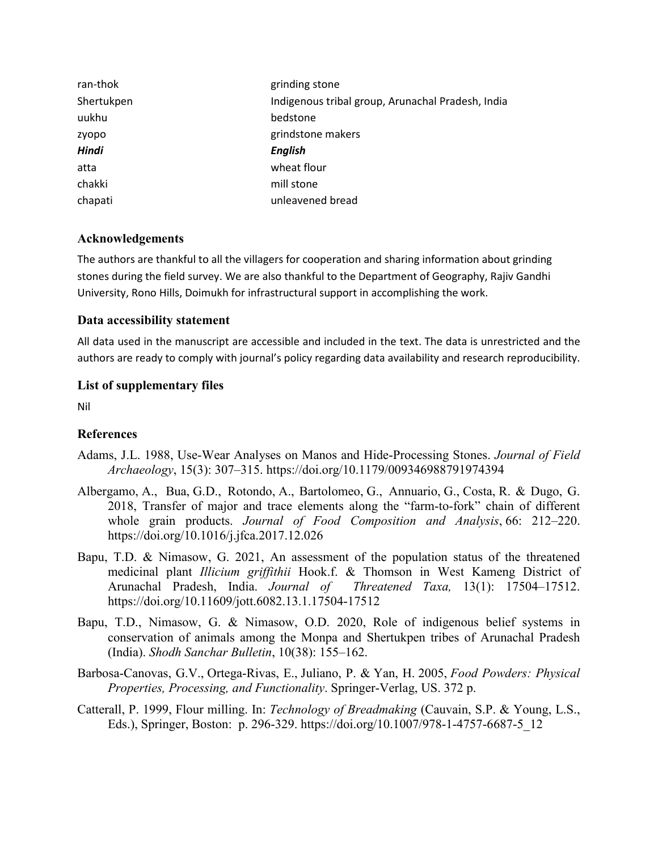| ran-thok     | grinding stone                                    |
|--------------|---------------------------------------------------|
| Shertukpen   | Indigenous tribal group, Arunachal Pradesh, India |
| uukhu        | bedstone                                          |
| zyopo        | grindstone makers                                 |
| <b>Hindi</b> | <b>English</b>                                    |
| atta         | wheat flour                                       |
| chakki       | mill stone                                        |
| chapati      | unleavened bread                                  |

## **Acknowledgements**

The authors are thankful to all the villagers for cooperation and sharing information about grinding stones during the field survey. We are also thankful to the Department of Geography, Rajiv Gandhi University, Rono Hills, Doimukh for infrastructural support in accomplishing the work.

## **Data accessibility statement**

All data used in the manuscript are accessible and included in the text. The data is unrestricted and the authors are ready to comply with journal's policy regarding data availability and research reproducibility.

## **List of supplementary files**

Nil

# **References**

- Adams, J.L. 1988, Use-Wear Analyses on Manos and Hide-Processing Stones. *Journal of Field Archaeology*, 15(3): 307–315. https://doi.org/10.1179/009346988791974394
- Albergamo, A., Bua, G.D., Rotondo, A., Bartolomeo, G., Annuario, G., Costa, R. & Dugo, G. 2018, Transfer of major and trace elements along the "farm-to-fork" chain of different whole grain products. *Journal of Food Composition and Analysis*, 66: 212–220. https://doi.org/10.1016/j.jfca.2017.12.026
- Bapu, T.D. & Nimasow, G. 2021, An assessment of the population status of the threatened medicinal plant *Illicium griffithii* Hook.f. & Thomson in West Kameng District of Arunachal Pradesh, India. *Journal of Threatened Taxa,* 13(1): 17504–17512. https://doi.org[/10.11609/jott.6082.13.1.17504-17512](https://www.researchgate.net/deref/http%3A%2F%2Fdx.doi.org%2F10.11609%2Fjott.6082.13.1.17504-17512?_sg%5B0%5D=MGUC5077qerErFLiIcsCagBeoGs_2mx3SHxyBYSWO1eTgCtBgpt27qfxz0mKeCiDDxTV7ZvUR7IIuLoGxIpU1kZIlg.ucMByC3CVsvgGiJZPtRU2ScZbRW5_fXDOkKWdSTJYulXdnDmRd-OT1O338eVL3JzTrccQ19et2uS763jpkfn5Q)
- Bapu, T.D., Nimasow, G. & Nimasow, O.D. 2020, Role of indigenous belief systems in conservation of animals among the Monpa and Shertukpen tribes of Arunachal Pradesh (India). *Shodh Sanchar Bulletin*, 10(38): 155–162.
- Barbosa‐Canovas, G.V., Ortega‐Rivas, E., Juliano, P. & Yan, H. 2005, *Food Powders: Physical Properties, Processing, and Functionality*. Springer-Verlag, US. 372 p.
- Catterall, P. 1999, Flour milling. In: *Technology of Breadmaking* (Cauvain, S.P. & Young, L.S., Eds.), Springer, Boston: p. 296-329. https://doi.org/10.1007/978-1-4757-6687-5\_12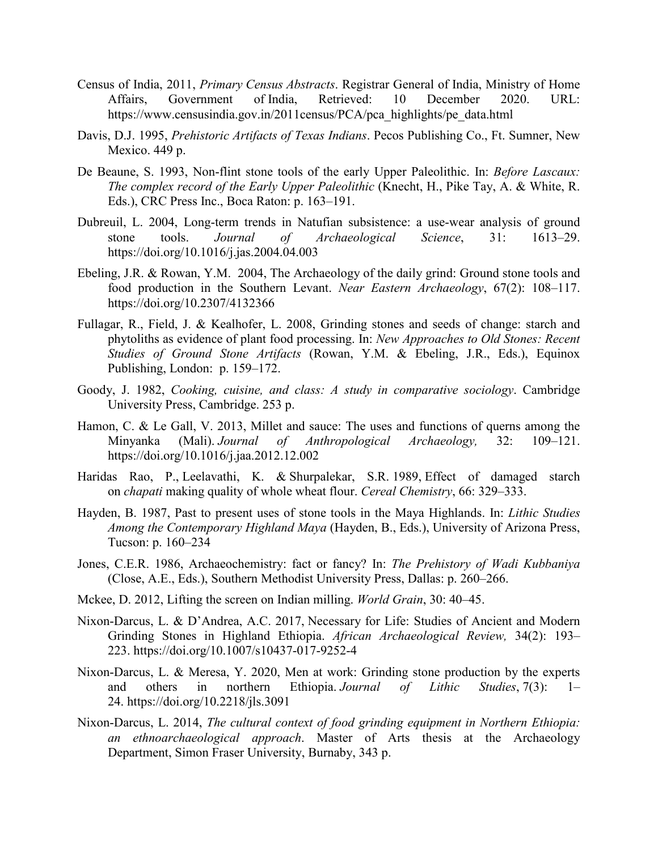- Census of India, 2011, *Primary Census Abstracts*. Registrar General of India, Ministry of Home Affairs, Government of India, Retrieved: 10 December 2020. URL: https://www.censusindia.gov.in/2011census/PCA/pca\_highlights/pe\_data.html
- Davis, D.J. 1995, *Prehistoric Artifacts of Texas Indians*. Pecos Publishing Co., Ft. Sumner, New Mexico. 449 p.
- De Beaune, S. 1993, Non-flint stone tools of the early Upper Paleolithic. In: *Before Lascaux: The complex record of the Early Upper Paleolithic* (Knecht, H., Pike Tay, A. & White, R. Eds.), CRC Press Inc., Boca Raton: p. 163–191.
- Dubreuil, L. 2004, Long-term trends in Natufian subsistence: a use-wear analysis of ground stone tools. *Journal of Archaeological Science*, 31: 1613–29. https://doi.org/10.1016/j.jas.2004.04.003
- Ebeling, J.R. & Rowan, Y.M. 2004, The Archaeology of the daily grind: Ground stone tools and food production in the Southern Levant. *Near Eastern Archaeology*, 67(2): 108–117. https://doi.org/10.2307/4132366
- Fullagar, R., Field, J. & Kealhofer, L. 2008, Grinding stones and seeds of change: starch and phytoliths as evidence of plant food processing. In: *New Approaches to Old Stones: Recent Studies of Ground Stone Artifacts* (Rowan, Y.M. & Ebeling, J.R., Eds.), Equinox Publishing, London: p. 159–172.
- Goody, J. 1982, *Cooking, cuisine, and class: A study in comparative sociology*. Cambridge University Press, Cambridge. 253 p.
- Hamon, C. & Le Gall, V. 2013, Millet and sauce: The uses and functions of querns among the Minyanka (Mali). *Journal of Anthropological Archaeology,* 32: 109–121. https://doi.org/10.1016/j.jaa.2012.12.002
- Haridas Rao, P., Leelavathi, K. & Shurpalekar, S.R. 1989, Effect of damaged starch on *chapati* making quality of whole wheat flour. *Cereal Chemistry*, 66: 329–333.
- Hayden, B. 1987, Past to present uses of stone tools in the Maya Highlands. In: *Lithic Studies Among the Contemporary Highland Maya* (Hayden, B., Eds.), University of Arizona Press, Tucson: p. 160–234
- Jones, C.E.R. 1986, Archaeochemistry: fact or fancy? In: *The Prehistory of Wadi Kubbaniya* (Close, A.E., Eds.), Southern Methodist University Press, Dallas: p. 260–266.
- Mckee, D. 2012, Lifting the screen on Indian milling. *World Grain*, 30: 40–45.
- Nixon-Darcus, L. & D'Andrea, A.C. 2017, Necessary for Life: Studies of Ancient and Modern Grinding Stones in Highland Ethiopia. *African Archaeological Review,* 34(2): 193– 223. https://doi.org/10.1007/s10437-017-9252-4
- Nixon-Darcus, L. & Meresa, Y. 2020, Men at work: Grinding stone production by the experts and others in northern Ethiopia. *Journal of Lithic Studies*, 7(3): 1– 24. https://doi.org/10.2218/jls.3091
- Nixon-Darcus, L. 2014, *The cultural context of food grinding equipment in Northern Ethiopia: an ethnoarchaeological approach*. Master of Arts thesis at the Archaeology Department, Simon Fraser University, Burnaby, 343 p.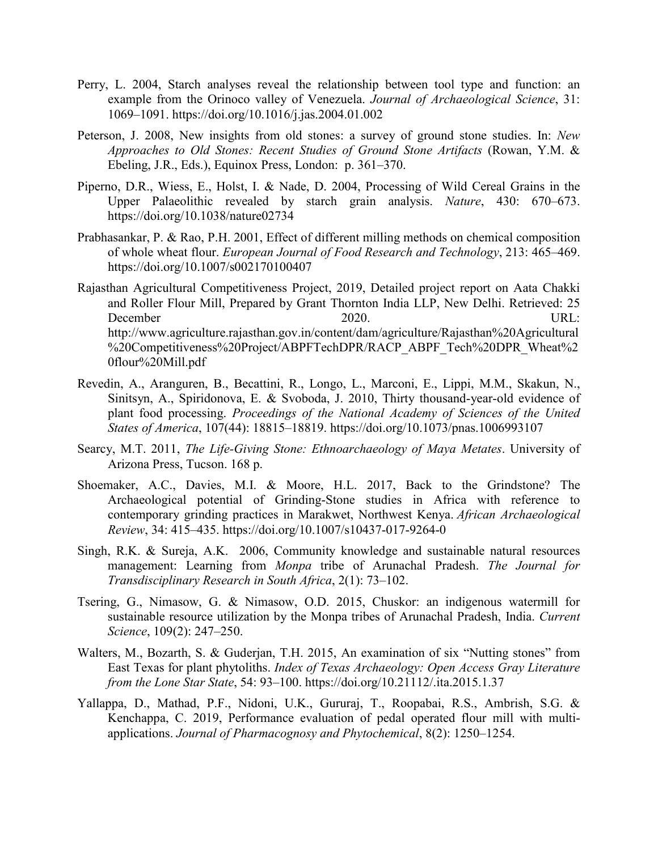- Perry, L. 2004, Starch analyses reveal the relationship between tool type and function: an example from the Orinoco valley of Venezuela. *Journal of Archaeological Science*, 31: 1069–1091. https://doi.org/10.1016/j.jas.2004.01.002
- Peterson, J. 2008, New insights from old stones: a survey of ground stone studies. In: *New Approaches to Old Stones: Recent Studies of Ground Stone Artifacts* (Rowan, Y.M. & Ebeling, J.R., Eds.), Equinox Press, London: p. 361–370.
- Piperno, D.R., Wiess, E., Holst, I. & Nade, D. 2004, Processing of Wild Cereal Grains in the Upper Palaeolithic revealed by starch grain analysis. *Nature*, 430: 670–673. https://doi.org/10.1038/nature02734
- Prabhasankar, P. & Rao, P.H. 2001, Effect of different milling methods on chemical composition of whole wheat flour. *European Journal of Food Research and Technology*, 213: 465–469. https://doi.org/10.1007/s002170100407
- Rajasthan Agricultural Competitiveness Project, 2019, Detailed project report on Aata Chakki and Roller Flour Mill, Prepared by Grant Thornton India LLP, New Delhi. Retrieved: 25 December 2020. URL: http://www.agriculture.rajasthan.gov.in/content/dam/agriculture/Rajasthan%20Agricultural %20Competitiveness%20Project/ABPFTechDPR/RACP\_ABPF\_Tech%20DPR\_Wheat%2 0flour%20Mill.pdf
- Revedin, A., Aranguren, B., Becattini, R., Longo, L., Marconi, E., Lippi, M.M., Skakun, N., Sinitsyn, A., Spiridonova, E. & Svoboda, J. 2010, Thirty thousand-year-old evidence of plant food processing. *Proceedings of the National Academy of Sciences of the United States of America*, 107(44): 18815–18819. https://doi.org/10.1073/pnas.1006993107
- Searcy, M.T. 2011, *The Life-Giving Stone: Ethnoarchaeology of Maya Metates*. University of Arizona Press, Tucson. 168 p.
- Shoemaker, A.C., Davies, M.I. & Moore, H.L. 2017, Back to the Grindstone? The Archaeological potential of Grinding-Stone studies in Africa with reference to contemporary grinding practices in Marakwet, Northwest Kenya. *African Archaeological Review*, 34: 415–435. https://doi.org/10.1007/s10437-017-9264-0
- Singh, R.K. & Sureja, A.K. 2006, Community knowledge and sustainable natural resources management: Learning from *Monpa* tribe of Arunachal Pradesh. *The Journal for Transdisciplinary Research in South Africa*, 2(1): 73–102.
- Tsering, G., Nimasow, G. & Nimasow, O.D. 2015, Chuskor: an indigenous watermill for sustainable resource utilization by the Monpa tribes of Arunachal Pradesh, India. *Current Science*, 109(2): 247–250.
- Walters, M., Bozarth, S. & Guderjan, T.H. 2015, An examination of six "Nutting stones" from East Texas for plant phytoliths. *Index of Texas Archaeology: Open Access Gray Literature from the Lone Star State*, 54: 93–100. https://doi.org/10.21112/.ita.2015.1.37
- Yallappa, D., Mathad, P.F., Nidoni, U.K., Gururaj, T., Roopabai, R.S., Ambrish, S.G. & Kenchappa, C. 2019, Performance evaluation of pedal operated flour mill with multiapplications. *Journal of Pharmacognosy and Phytochemical*, 8(2): 1250–1254.